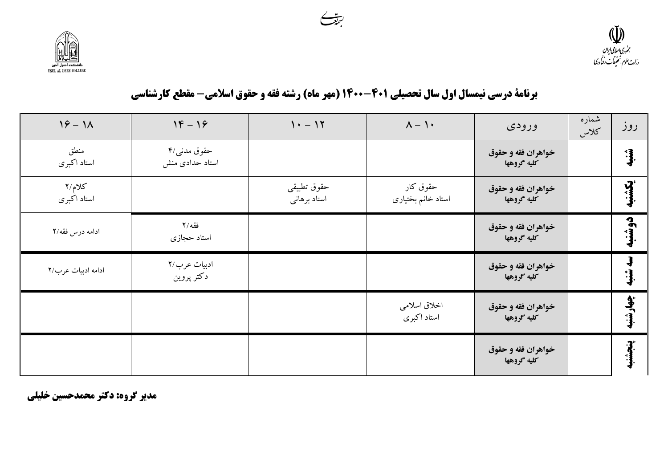مدیر گروه: دکتر محمدحسین خلیلی

| $19 - 11$             | $18 - 19$                       | $1. - 17$                   | $\Lambda - 1$                  | ورودى                             | شماره<br>كلاس | روز        |
|-----------------------|---------------------------------|-----------------------------|--------------------------------|-----------------------------------|---------------|------------|
| منطق<br>استاد اكبرى   | حقوق مدنبي/۴<br>استاد حدادى منش |                             |                                | خواهران فقه و حقوق<br>كليه گروهها |               | شنبه<br>په |
| کلام/۲<br>استاد اکبری |                                 | حقوق تطبيقي<br>استاد برهاني | حقوق کار<br>استاد خانم بختیاری | خواهران فقه و حقوق<br>كليه گروهها |               | بكشنبه     |
| ادامه درس فقه/۲       | فقه /۲<br>استاد حجازي           |                             |                                | خواهران فقه و حقوق<br>كليه گروهها |               | دوشنبه     |
| ادامه ادبيات عرب/٢    | ادبيات عرب/٢<br>دکتر پروین      |                             |                                | خواهران فقه و حقوق<br>كليه گروهها |               | سه شنبه    |
|                       |                                 |                             | اخلاق اسلامي<br>استاد اكبرى    | خواهران فقه و حقوق<br>كليه گروهها |               | چهارشنبه   |
|                       |                                 |                             |                                | خواهران فقه و حقوق<br>كليه گروهها |               | بنجشنا     |

برنامة درسي نيمسال اول سال تحصيلي 401-1400 (مهر ماه) رشته فقه و حقوق اسلامي- مقطع كارشناسي



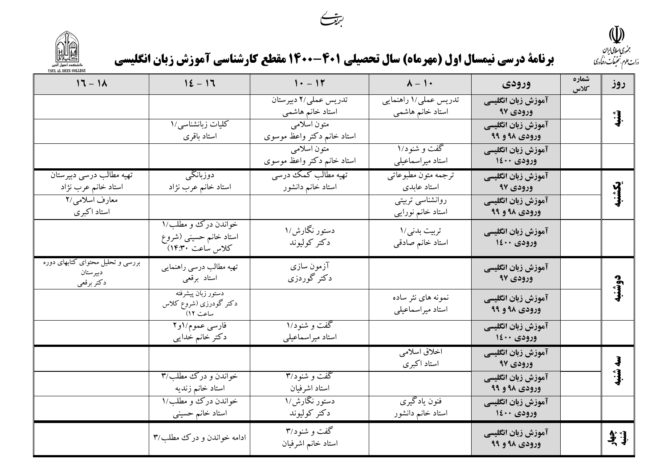



|                                                             |                                                                   | $\smile$ .<br>برنامة درسي نيمسال اول (مهرماه) سال تحصيلي 401-1400 مقطع كارشناسي آموزش زبان انگليسي |                                           |                                     |               | $\mathbb{Q}$<br>جمنوری اسلامی ایران<br>درارت علوم بتحقيقات وفيأدرى |
|-------------------------------------------------------------|-------------------------------------------------------------------|----------------------------------------------------------------------------------------------------|-------------------------------------------|-------------------------------------|---------------|--------------------------------------------------------------------|
| $17 - 11$                                                   | $12 - 17$                                                         | $1 - 11$                                                                                           | $Y - 1$                                   | ورودى                               | شماره<br>كلاس | روز                                                                |
|                                                             |                                                                   | تدريس عملي/٢ دبيرستان<br>استاد خانم هاشمی                                                          | تدریس عملی/۱ راهنمایی<br>استاد خانم هاشمی | آموزش زبان انگلیسی<br>ورودی ۹۷      |               | شنبه                                                               |
|                                                             | کلیات زبانشناس <sub>ی</sub> /۱<br>استاد باقرى                     | متون اسلامي<br>استاد خانم دکتر واعظ موسوی                                                          |                                           | آموزش زبان انگلیسی<br>ورودی ۹۸ و ۹۹ |               |                                                                    |
|                                                             |                                                                   | متون اسلامي<br>استاد خانم دکتر واعظ موسوی                                                          | گفت و شنود/۱<br>استاد میراسماعیلی         | آموزش زبان انگلیسی<br>ورودی ۱٤۰۰    |               |                                                                    |
| تهیه مطالب درسی دبیرستان<br>استاد خانم عرب نژاد             | دوزبانگی<br>استاد خانم عرب نژاد                                   | تهیه مطالب کمک درسی<br>استاد خانم دانشور                                                           | ترجمه متون مطبوعاتي<br>استاد عابدى        | آموزش زبان انگلیسی<br>ورودی ۹۷      |               | بكشنبه                                                             |
| معارف اسلامي/٢<br>استاد اکبری                               |                                                                   |                                                                                                    | روانشناسی تربیتی<br>استاد خانم نورایی     | آموزش زبان انگلیسی<br>ورودی ۹۸ و ۹۹ |               |                                                                    |
|                                                             | خواندن درک و مطلب/۱<br>استاد خانم حسینی (شروع<br>كلاس ساعت ۱۴:۳۰) | دستور نگارش/۱<br>دكتر كوليوند                                                                      | تربيت بدني/١<br>استاد خانم صادقى          | آموزش زبان انگلیسی<br>ورودی ۱٤۰۰    |               |                                                                    |
| بررسی و تحلیل محتوای کتابهای دوره<br>دبيرستان<br>دكتر برقعي | تهیه مطالب درسی راهنمایی<br>استاد برقعي                           | آزمون سازی<br>دکتر گوردزی                                                                          |                                           | آموزش زبان انگلیسی<br>ورودی ۹۷      |               | دوشنبه                                                             |
|                                                             | دستور زبان پیشرفته<br>دکتر گودرزی (شروع کلاس<br>ساعت ۱۲)          |                                                                                                    | نمونه های نثر ساده<br>استاد میراسماعیلی   | آموزش زبان انگلیسی<br>ورودی ۹۸ و ۹۹ |               |                                                                    |
|                                                             | فارسي عموم/او٢<br>دكتر خانم خدايي                                 | گفت و شنود/۱<br>استاد میراسماعیلی                                                                  |                                           | آموزش زبان انگلیسی<br>ورودی ۱٤۰۰    |               |                                                                    |
|                                                             |                                                                   |                                                                                                    | اخلاق اسلامي<br>استاد اکبری               | آموزش زبان انگلیسی<br>ورودی ۹۷      |               | $\frac{3}{2}$                                                      |
|                                                             | خواندن و درک مطلب/۳<br>استاد خانم زنديه                           | گفت و شنود/۳<br>استاد اشرفيان                                                                      |                                           | آموزش زبان انگلیسی<br>ورودی ۹۹ و ۹۹ |               | شنبه                                                               |
|                                                             | خواندن درك و مطلب/١<br>استاد خانم حسینی                           | <mark>دستور نگارش/۱</mark><br>دكتر كوليوند                                                         | فنون يادگيري<br>استاد خانم دانشور         | آموزش زبان انگلیسی<br>ورودی ۱٤۰۰    |               |                                                                    |
|                                                             | ادامه خواندن و درک مطلب/۳                                         | گفت و شنود/۳<br>استاد خانم اشرفيان                                                                 |                                           | آموزش زبان انگلیسی<br>ورودی ۹۸ و ۹۹ |               | ينها.<br>شنبها                                                     |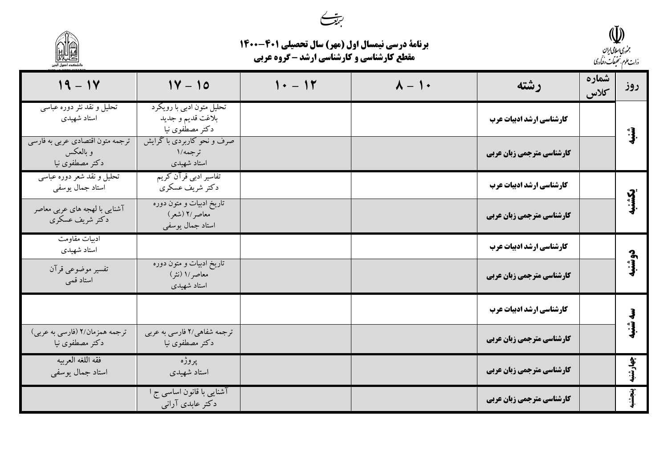

| <b>برنامة درسي نيمسال اول (مهر) سال تحصيلي 401-1400</b> |
|---------------------------------------------------------|
| <b>مقطع کارشناسی و کارشناسی ارشد - گروه عربی</b>        |

|                                                                 | محملت<br>برنامة درسي نيمسال اول (مهر) سال تحصيلي 401-1400<br><b>مقطع کارشناسی و کارشناسی ارشد - گروه عربی</b> |          |               |                           |               | جمهوری <i>اسلامی ایران</i><br>درارت علوم بتحقيقات وفيأدرى |
|-----------------------------------------------------------------|---------------------------------------------------------------------------------------------------------------|----------|---------------|---------------------------|---------------|-----------------------------------------------------------|
| $19 - 14$                                                       | $1Y - 10$                                                                                                     | $1 - 11$ | $\lambda - 1$ | رشته                      | شماره<br>كلاس | روز                                                       |
| تحلیل و نقد نثر دوره عباسی<br>استاد شهیدی                       | تحلیل متون ادبی با رویکرد<br>بلاغت قديم وجديد<br>دکتر مصطْفوی نیا                                             |          |               | کارشناسی ارشد ادبیات عرب  |               |                                                           |
| ترجمه متون اقتصادي عربي به فارسي<br>و بالعکس<br>دکتر مصطفوی نیا | صرف و نحو کاربردی با گرایش<br>ترجمه/١<br>استاد شهیدی                                                          |          |               | کارشناسی مترجمی زبان عربی |               |                                                           |
| تحلیل و نقد شعر دوره عباسی<br>استاد جمال يوسفي                  | تفاسیر ادبی قرآن کریم<br>دكتر شريف عسكري                                                                      |          |               | کارشناسی ارشد ادبیات عرب  |               |                                                           |
| آشنایی با لهجه های عربی معاصر<br>دکتر شریف عسکری                | تاریخ ادبیات و متون دوره<br>معاصر /٢ (شعر)<br>استاد جمال يوسفي                                                |          |               | کارشناسی مترجمی زبان عربی |               |                                                           |
| ادبيات مقاومت<br>استاد شهیدی                                    |                                                                                                               |          |               | کارشناسی ارشد ادبیات عرب  |               | J,                                                        |
| تفسير موضوعي قرآن<br>استاد قمی                                  | تاریخ ادبیات و متون دوره<br>معاصر /١ (نشر)<br>استاد شهیدی                                                     |          |               | کارشناسی مترجمی زبان عربی |               | 1                                                         |
|                                                                 |                                                                                                               |          |               | کارشناسی ارشد ادبیات عرب  |               |                                                           |
| ترجمه همزمان/٢ (فارسي به عربي)<br>دکتر مصطفوی نیا               | ترجمه شفاهی/۲ فارسی به عربی<br>دکتر مصطفوی نیا                                                                |          |               | کارشناسی مترجمی زبان عربی |               | ำ}ู้                                                      |
| فقه اللغه العربيه<br>استاد جمال یوسفی                           | پروژه<br>استاد شهیدی                                                                                          |          |               | کارشناسی مترجمی زبان عربی |               | چهارشنب                                                   |
|                                                                 | آشنایی با قانون اساس <sub>ی</sub> ج ا<br>دکتر عابدی آرانی                                                     |          |               | کارشناسی مترجمی زبان عربی |               |                                                           |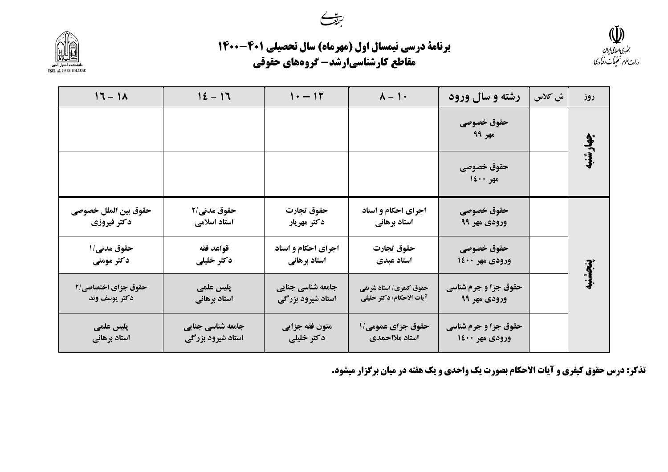



| برنامة درسي نيمسال اول (مهرماه) سال تحصيلي 401-1400 |
|-----------------------------------------------------|
| مقاطع كارشناسيارشد- گروههاي حقوقي                   |

| $17 - 11$                            | $12 - 17$                              | $1 - 11$                               | $\lambda - 1$                                       | رشته و سال ورود                             | ش كلاس | روز      |
|--------------------------------------|----------------------------------------|----------------------------------------|-----------------------------------------------------|---------------------------------------------|--------|----------|
|                                      |                                        |                                        |                                                     | حقوق خصوصى<br>مهر ۹۹                        |        | چهارشنبه |
|                                      |                                        |                                        |                                                     | حقوق خصوصى<br>$12 \cdots$ and $\frac{1}{2}$ |        |          |
| حقوق بين الملل خصوصي<br>دكتر فيروزي  | حقوق مدني/٢<br>استاد اسلامی            | حقوق تجارت<br>دكتر مهريار              | اجرای احکام و اسناد<br>استاد برهاني                 | حقوق خصوصى<br>ورودي مهر ۹۹                  |        |          |
| حقوق مدني/١<br>دکتر مومنی            | قواعد فقه<br>دكتر خليلي                | اجرای احکام و اسناد<br>استاد برهاني    | حقوق تجارت<br>استاد عبدي                            | حقوق خصوصى<br>ورودي مهر ۱٤۰۰                |        |          |
| حقوق جزاي اختصاصي/2<br>دكتر يوسف وند | پلیس علمی<br>استاد برهاني              | جامعه شناسی جنایی<br>استاد شیرود بزرگی | حقوق کیفری/ استاد شریفی<br>آيات الاحكام/ دكتر خليلي | حقوق جزا و جرم شناسی<br>ورودي مهر ۹۹        |        | ينجشنبه  |
| پلیس علمی<br>استاد برهاني            | جامعه شناسی جنایی<br>استاد شیرود بزرگی | متون فقه جزايي<br>دكتر خليلي           | حقوق جزای عمومی/۱<br>استاد ملااحمدي                 | حقوق جزا و جرم شناسی<br>ورودي مهر ۱٤۰۰      |        |          |

**تذکر: درس حقوق کیفری و آیات الاحکام بصورت یک واحدی و یک هفته در میان برگزار میشود.** 

**(لِيَّ))**<br>جن<sub>ورى اسلامی ای<sup>لان</sup><br>وزارت علوم تحقیقات وقاورى</sub>